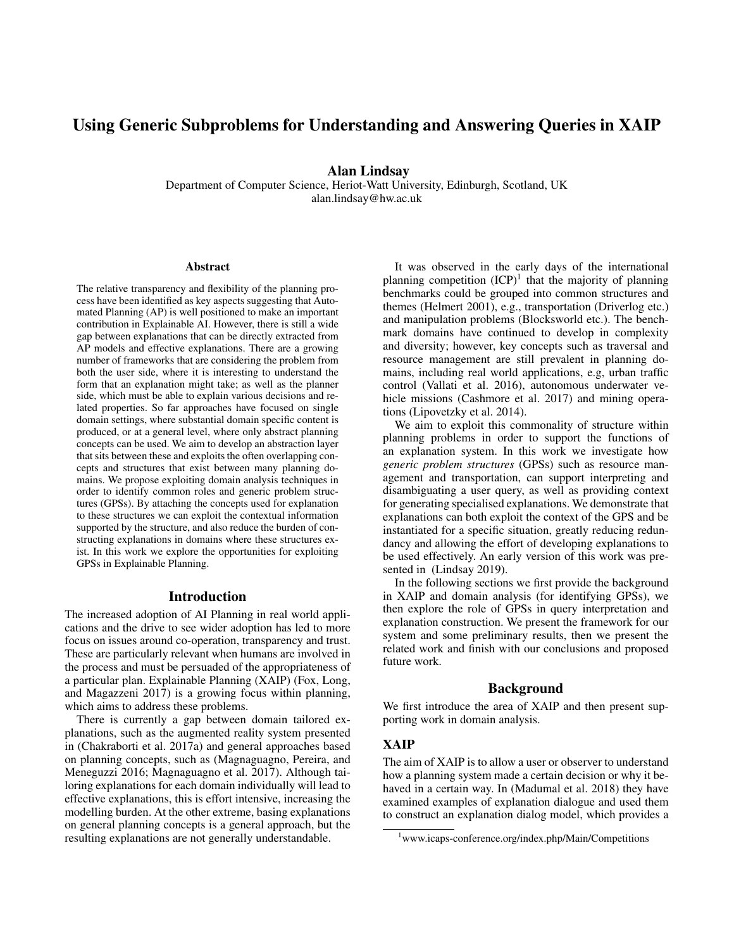# Using Generic Subproblems for Understanding and Answering Queries in XAIP

Alan Lindsay

Department of Computer Science, Heriot-Watt University, Edinburgh, Scotland, UK alan.lindsay@hw.ac.uk

#### **Abstract**

The relative transparency and flexibility of the planning process have been identified as key aspects suggesting that Automated Planning (AP) is well positioned to make an important contribution in Explainable AI. However, there is still a wide gap between explanations that can be directly extracted from AP models and effective explanations. There are a growing number of frameworks that are considering the problem from both the user side, where it is interesting to understand the form that an explanation might take; as well as the planner side, which must be able to explain various decisions and related properties. So far approaches have focused on single domain settings, where substantial domain specific content is produced, or at a general level, where only abstract planning concepts can be used. We aim to develop an abstraction layer that sits between these and exploits the often overlapping concepts and structures that exist between many planning domains. We propose exploiting domain analysis techniques in order to identify common roles and generic problem structures (GPSs). By attaching the concepts used for explanation to these structures we can exploit the contextual information supported by the structure, and also reduce the burden of constructing explanations in domains where these structures exist. In this work we explore the opportunities for exploiting GPSs in Explainable Planning.

#### Introduction

The increased adoption of AI Planning in real world applications and the drive to see wider adoption has led to more focus on issues around co-operation, transparency and trust. These are particularly relevant when humans are involved in the process and must be persuaded of the appropriateness of a particular plan. Explainable Planning (XAIP) (Fox, Long, and Magazzeni 2017) is a growing focus within planning, which aims to address these problems.

There is currently a gap between domain tailored explanations, such as the augmented reality system presented in (Chakraborti et al. 2017a) and general approaches based on planning concepts, such as (Magnaguagno, Pereira, and Meneguzzi 2016; Magnaguagno et al. 2017). Although tailoring explanations for each domain individually will lead to effective explanations, this is effort intensive, increasing the modelling burden. At the other extreme, basing explanations on general planning concepts is a general approach, but the resulting explanations are not generally understandable.

It was observed in the early days of the international planning competition  $(ICP)^1$  that the majority of planning benchmarks could be grouped into common structures and themes (Helmert 2001), e.g., transportation (Driverlog etc.) and manipulation problems (Blocksworld etc.). The benchmark domains have continued to develop in complexity and diversity; however, key concepts such as traversal and resource management are still prevalent in planning domains, including real world applications, e.g, urban traffic control (Vallati et al. 2016), autonomous underwater vehicle missions (Cashmore et al. 2017) and mining operations (Lipovetzky et al. 2014).

We aim to exploit this commonality of structure within planning problems in order to support the functions of an explanation system. In this work we investigate how *generic problem structures* (GPSs) such as resource management and transportation, can support interpreting and disambiguating a user query, as well as providing context for generating specialised explanations. We demonstrate that explanations can both exploit the context of the GPS and be instantiated for a specific situation, greatly reducing redundancy and allowing the effort of developing explanations to be used effectively. An early version of this work was presented in (Lindsay 2019).

In the following sections we first provide the background in XAIP and domain analysis (for identifying GPSs), we then explore the role of GPSs in query interpretation and explanation construction. We present the framework for our system and some preliminary results, then we present the related work and finish with our conclusions and proposed future work.

### Background

We first introduce the area of XAIP and then present supporting work in domain analysis.

# XAIP

The aim of XAIP is to allow a user or observer to understand how a planning system made a certain decision or why it behaved in a certain way. In (Madumal et al. 2018) they have examined examples of explanation dialogue and used them to construct an explanation dialog model, which provides a

<sup>&</sup>lt;sup>1</sup>www.icaps-conference.org/index.php/Main/Competitions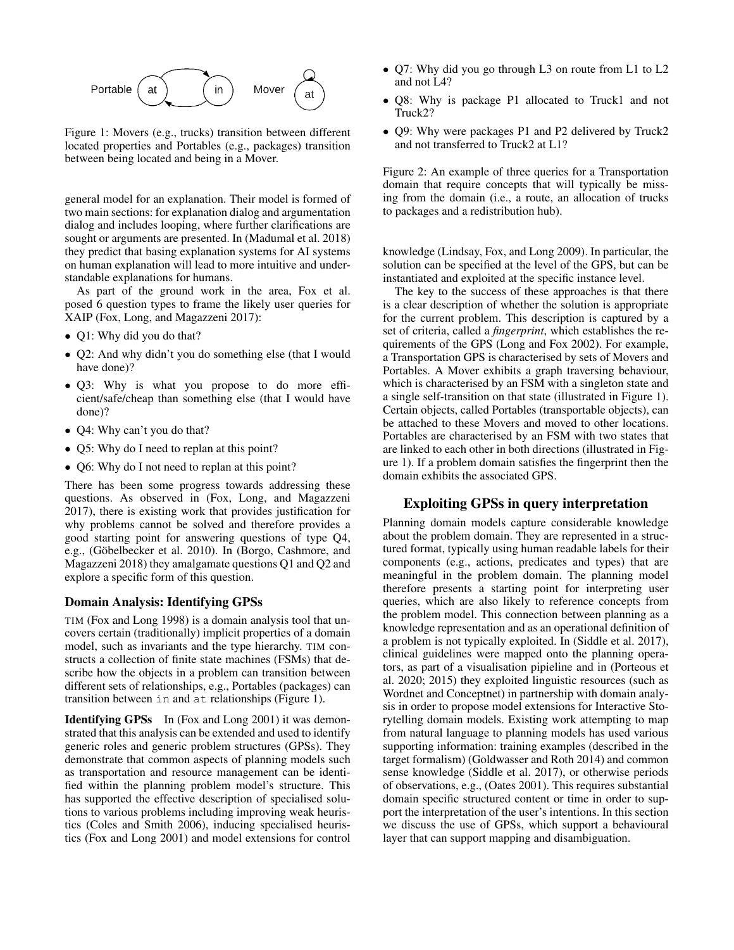

Figure 1: Movers (e.g., trucks) transition between different located properties and Portables (e.g., packages) transition between being located and being in a Mover.

general model for an explanation. Their model is formed of two main sections: for explanation dialog and argumentation dialog and includes looping, where further clarifications are sought or arguments are presented. In (Madumal et al. 2018) they predict that basing explanation systems for AI systems on human explanation will lead to more intuitive and understandable explanations for humans.

As part of the ground work in the area, Fox et al. posed 6 question types to frame the likely user queries for XAIP (Fox, Long, and Magazzeni 2017):

- Q1: Why did you do that?
- Q2: And why didn't you do something else (that I would have done)?
- Q3: Why is what you propose to do more efficient/safe/cheap than something else (that I would have done)?
- Q4: Why can't you do that?
- Q5: Why do I need to replan at this point?
- Q6: Why do I not need to replan at this point?

There has been some progress towards addressing these questions. As observed in (Fox, Long, and Magazzeni 2017), there is existing work that provides justification for why problems cannot be solved and therefore provides a good starting point for answering questions of type Q4, e.g., (Göbelbecker et al. 2010). In (Borgo, Cashmore, and Magazzeni 2018) they amalgamate questions Q1 and Q2 and explore a specific form of this question.

### Domain Analysis: Identifying GPSs

TIM (Fox and Long 1998) is a domain analysis tool that uncovers certain (traditionally) implicit properties of a domain model, such as invariants and the type hierarchy. TIM constructs a collection of finite state machines (FSMs) that describe how the objects in a problem can transition between different sets of relationships, e.g., Portables (packages) can transition between in and at relationships (Figure 1).

Identifying GPSs In (Fox and Long 2001) it was demonstrated that this analysis can be extended and used to identify generic roles and generic problem structures (GPSs). They demonstrate that common aspects of planning models such as transportation and resource management can be identified within the planning problem model's structure. This has supported the effective description of specialised solutions to various problems including improving weak heuristics (Coles and Smith 2006), inducing specialised heuristics (Fox and Long 2001) and model extensions for control

- Q7: Why did you go through L3 on route from L1 to L2 and not L4?
- Q8: Why is package P1 allocated to Truck1 and not Truck2?
- Q9: Why were packages P1 and P2 delivered by Truck2 and not transferred to Truck2 at L1?

Figure 2: An example of three queries for a Transportation domain that require concepts that will typically be missing from the domain (i.e., a route, an allocation of trucks to packages and a redistribution hub).

knowledge (Lindsay, Fox, and Long 2009). In particular, the solution can be specified at the level of the GPS, but can be instantiated and exploited at the specific instance level.

The key to the success of these approaches is that there is a clear description of whether the solution is appropriate for the current problem. This description is captured by a set of criteria, called a *fingerprint*, which establishes the requirements of the GPS (Long and Fox 2002). For example, a Transportation GPS is characterised by sets of Movers and Portables. A Mover exhibits a graph traversing behaviour, which is characterised by an FSM with a singleton state and a single self-transition on that state (illustrated in Figure 1). Certain objects, called Portables (transportable objects), can be attached to these Movers and moved to other locations. Portables are characterised by an FSM with two states that are linked to each other in both directions (illustrated in Figure 1). If a problem domain satisfies the fingerprint then the domain exhibits the associated GPS.

# Exploiting GPSs in query interpretation

Planning domain models capture considerable knowledge about the problem domain. They are represented in a structured format, typically using human readable labels for their components (e.g., actions, predicates and types) that are meaningful in the problem domain. The planning model therefore presents a starting point for interpreting user queries, which are also likely to reference concepts from the problem model. This connection between planning as a knowledge representation and as an operational definition of a problem is not typically exploited. In (Siddle et al. 2017), clinical guidelines were mapped onto the planning operators, as part of a visualisation pipieline and in (Porteous et al. 2020; 2015) they exploited linguistic resources (such as Wordnet and Conceptnet) in partnership with domain analysis in order to propose model extensions for Interactive Storytelling domain models. Existing work attempting to map from natural language to planning models has used various supporting information: training examples (described in the target formalism) (Goldwasser and Roth 2014) and common sense knowledge (Siddle et al. 2017), or otherwise periods of observations, e.g., (Oates 2001). This requires substantial domain specific structured content or time in order to support the interpretation of the user's intentions. In this section we discuss the use of GPSs, which support a behavioural layer that can support mapping and disambiguation.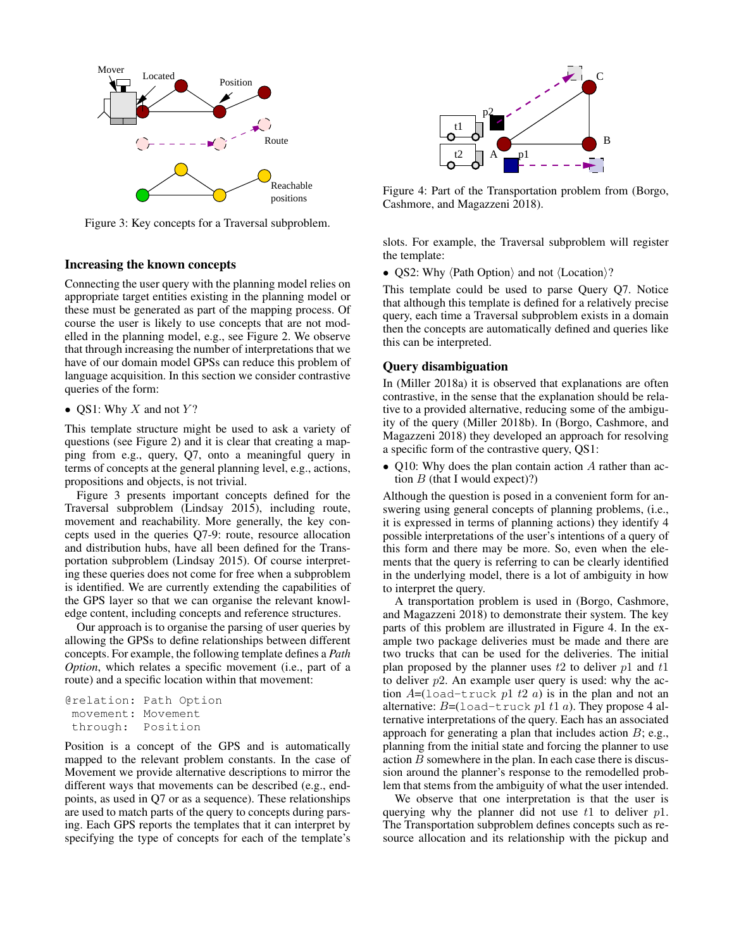

Figure 3: Key concepts for a Traversal subproblem.

# Increasing the known concepts

Connecting the user query with the planning model relies on appropriate target entities existing in the planning model or these must be generated as part of the mapping process. Of course the user is likely to use concepts that are not modelled in the planning model, e.g., see Figure 2. We observe that through increasing the number of interpretations that we have of our domain model GPSs can reduce this problem of language acquisition. In this section we consider contrastive queries of the form:

# • QS1: Why  $X$  and not  $Y$ ?

This template structure might be used to ask a variety of questions (see Figure 2) and it is clear that creating a mapping from e.g., query, Q7, onto a meaningful query in terms of concepts at the general planning level, e.g., actions, propositions and objects, is not trivial.

Figure 3 presents important concepts defined for the Traversal subproblem (Lindsay 2015), including route, movement and reachability. More generally, the key concepts used in the queries Q7-9: route, resource allocation and distribution hubs, have all been defined for the Transportation subproblem (Lindsay 2015). Of course interpreting these queries does not come for free when a subproblem is identified. We are currently extending the capabilities of the GPS layer so that we can organise the relevant knowledge content, including concepts and reference structures.

Our approach is to organise the parsing of user queries by allowing the GPSs to define relationships between different concepts. For example, the following template defines a *Path Option*, which relates a specific movement (i.e., part of a route) and a specific location within that movement:

```
@relation: Path Option
movement: Movement
through: Position
```
Position is a concept of the GPS and is automatically mapped to the relevant problem constants. In the case of Movement we provide alternative descriptions to mirror the different ways that movements can be described (e.g., endpoints, as used in Q7 or as a sequence). These relationships are used to match parts of the query to concepts during parsing. Each GPS reports the templates that it can interpret by specifying the type of concepts for each of the template's



Figure 4: Part of the Transportation problem from (Borgo, Cashmore, and Magazzeni 2018).

slots. For example, the Traversal subproblem will register the template:

• QS2: Why  $\langle$  Path Option $\rangle$  and not  $\langle$  Location $\rangle$ ?

This template could be used to parse Query Q7. Notice that although this template is defined for a relatively precise query, each time a Traversal subproblem exists in a domain then the concepts are automatically defined and queries like this can be interpreted.

### Query disambiguation

In (Miller 2018a) it is observed that explanations are often contrastive, in the sense that the explanation should be relative to a provided alternative, reducing some of the ambiguity of the query (Miller 2018b). In (Borgo, Cashmore, and Magazzeni 2018) they developed an approach for resolving a specific form of the contrastive query, QS1:

• Q10: Why does the plan contain action A rather than action  $B$  (that I would expect)?)

Although the question is posed in a convenient form for answering using general concepts of planning problems, (i.e., it is expressed in terms of planning actions) they identify 4 possible interpretations of the user's intentions of a query of this form and there may be more. So, even when the elements that the query is referring to can be clearly identified in the underlying model, there is a lot of ambiguity in how to interpret the query.

A transportation problem is used in (Borgo, Cashmore, and Magazzeni 2018) to demonstrate their system. The key parts of this problem are illustrated in Figure 4. In the example two package deliveries must be made and there are two trucks that can be used for the deliveries. The initial plan proposed by the planner uses  $t_2$  to deliver  $p_1$  and  $t_1$ to deliver  $p2$ . An example user query is used: why the action  $A=($ load-truck p1 t2 a) is in the plan and not an alternative:  $B = ($ load-truck p1 t1 a). They propose 4 alternative interpretations of the query. Each has an associated approach for generating a plan that includes action  $B$ ; e.g., planning from the initial state and forcing the planner to use action  $B$  somewhere in the plan. In each case there is discussion around the planner's response to the remodelled problem that stems from the ambiguity of what the user intended.

We observe that one interpretation is that the user is querying why the planner did not use  $t_1$  to deliver  $p_1$ . The Transportation subproblem defines concepts such as resource allocation and its relationship with the pickup and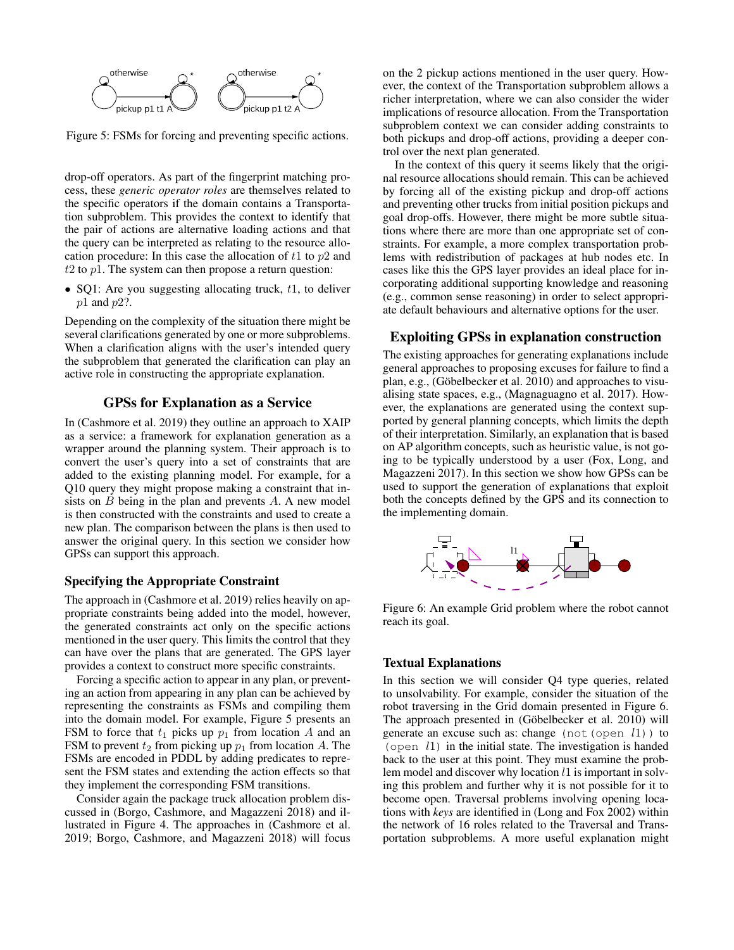

Figure 5: FSMs for forcing and preventing specific actions.

drop-off operators. As part of the fingerprint matching process, these *generic operator roles* are themselves related to the specific operators if the domain contains a Transportation subproblem. This provides the context to identify that the pair of actions are alternative loading actions and that the query can be interpreted as relating to the resource allocation procedure: In this case the allocation of  $t_1$  to  $p_2$  and  $t2$  to  $p1$ . The system can then propose a return question:

• SQ1: Are you suggesting allocating truck,  $t_1$ , to deliver  $p1$  and  $p2$ ?.

Depending on the complexity of the situation there might be several clarifications generated by one or more subproblems. When a clarification aligns with the user's intended query the subproblem that generated the clarification can play an active role in constructing the appropriate explanation.

### GPSs for Explanation as a Service

In (Cashmore et al. 2019) they outline an approach to XAIP as a service: a framework for explanation generation as a wrapper around the planning system. Their approach is to convert the user's query into a set of constraints that are added to the existing planning model. For example, for a Q10 query they might propose making a constraint that insists on  $B$  being in the plan and prevents  $A$ . A new model is then constructed with the constraints and used to create a new plan. The comparison between the plans is then used to answer the original query. In this section we consider how GPSs can support this approach.

#### Specifying the Appropriate Constraint

The approach in (Cashmore et al. 2019) relies heavily on appropriate constraints being added into the model, however, the generated constraints act only on the specific actions mentioned in the user query. This limits the control that they can have over the plans that are generated. The GPS layer provides a context to construct more specific constraints.

Forcing a specific action to appear in any plan, or preventing an action from appearing in any plan can be achieved by representing the constraints as FSMs and compiling them into the domain model. For example, Figure 5 presents an FSM to force that  $t_1$  picks up  $p_1$  from location A and an FSM to prevent  $t_2$  from picking up  $p_1$  from location A. The FSMs are encoded in PDDL by adding predicates to represent the FSM states and extending the action effects so that they implement the corresponding FSM transitions.

Consider again the package truck allocation problem discussed in (Borgo, Cashmore, and Magazzeni 2018) and illustrated in Figure 4. The approaches in (Cashmore et al. 2019; Borgo, Cashmore, and Magazzeni 2018) will focus

on the 2 pickup actions mentioned in the user query. However, the context of the Transportation subproblem allows a richer interpretation, where we can also consider the wider implications of resource allocation. From the Transportation subproblem context we can consider adding constraints to both pickups and drop-off actions, providing a deeper control over the next plan generated.

In the context of this query it seems likely that the original resource allocations should remain. This can be achieved by forcing all of the existing pickup and drop-off actions and preventing other trucks from initial position pickups and goal drop-offs. However, there might be more subtle situations where there are more than one appropriate set of constraints. For example, a more complex transportation problems with redistribution of packages at hub nodes etc. In cases like this the GPS layer provides an ideal place for incorporating additional supporting knowledge and reasoning (e.g., common sense reasoning) in order to select appropriate default behaviours and alternative options for the user.

### Exploiting GPSs in explanation construction

The existing approaches for generating explanations include general approaches to proposing excuses for failure to find a plan, e.g., (Göbelbecker et al. 2010) and approaches to visualising state spaces, e.g., (Magnaguagno et al. 2017). However, the explanations are generated using the context supported by general planning concepts, which limits the depth of their interpretation. Similarly, an explanation that is based on AP algorithm concepts, such as heuristic value, is not going to be typically understood by a user (Fox, Long, and Magazzeni 2017). In this section we show how GPSs can be used to support the generation of explanations that exploit both the concepts defined by the GPS and its connection to the implementing domain.



Figure 6: An example Grid problem where the robot cannot reach its goal.

#### Textual Explanations

In this section we will consider Q4 type queries, related to unsolvability. For example, consider the situation of the robot traversing in the Grid domain presented in Figure 6. The approach presented in (Göbelbecker et al. 2010) will generate an excuse such as: change (not (open  $l1$ )) to (open  $l1$ ) in the initial state. The investigation is handed back to the user at this point. They must examine the problem model and discover why location l1 is important in solving this problem and further why it is not possible for it to become open. Traversal problems involving opening locations with *keys* are identified in (Long and Fox 2002) within the network of 16 roles related to the Traversal and Transportation subproblems. A more useful explanation might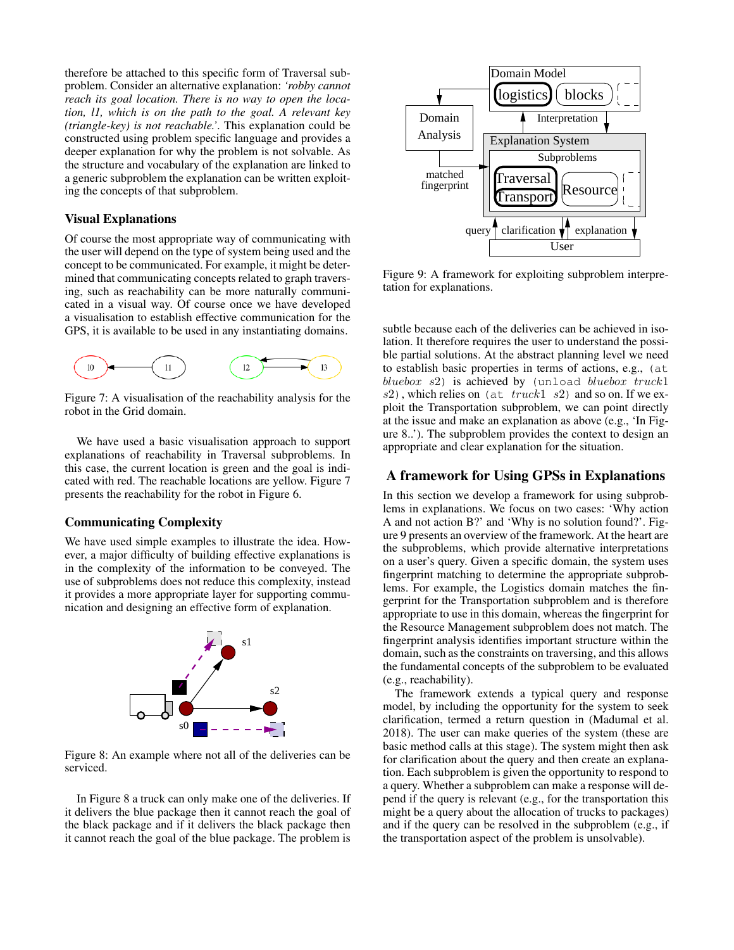therefore be attached to this specific form of Traversal subproblem. Consider an alternative explanation: *'robby cannot reach its goal location. There is no way to open the location, l1, which is on the path to the goal. A relevant key (triangle-key) is not reachable.'*. This explanation could be constructed using problem specific language and provides a deeper explanation for why the problem is not solvable. As the structure and vocabulary of the explanation are linked to a generic subproblem the explanation can be written exploiting the concepts of that subproblem.

# Visual Explanations

Of course the most appropriate way of communicating with the user will depend on the type of system being used and the concept to be communicated. For example, it might be determined that communicating concepts related to graph traversing, such as reachability can be more naturally communicated in a visual way. Of course once we have developed a visualisation to establish effective communication for the GPS, it is available to be used in any instantiating domains.



Figure 7: A visualisation of the reachability analysis for the robot in the Grid domain.

We have used a basic visualisation approach to support explanations of reachability in Traversal subproblems. In this case, the current location is green and the goal is indicated with red. The reachable locations are yellow. Figure 7 presents the reachability for the robot in Figure 6.

# Communicating Complexity

We have used simple examples to illustrate the idea. However, a major difficulty of building effective explanations is in the complexity of the information to be conveyed. The use of subproblems does not reduce this complexity, instead it provides a more appropriate layer for supporting communication and designing an effective form of explanation.



Figure 8: An example where not all of the deliveries can be serviced.

In Figure 8 a truck can only make one of the deliveries. If it delivers the blue package then it cannot reach the goal of the black package and if it delivers the black package then it cannot reach the goal of the blue package. The problem is



Figure 9: A framework for exploiting subproblem interpretation for explanations.

subtle because each of the deliveries can be achieved in isolation. It therefore requires the user to understand the possible partial solutions. At the abstract planning level we need to establish basic properties in terms of actions, e.g., (at bluebox  $s2$ ) is achieved by (unload bluebox truck1  $s2$ ), which relies on (at  $\,$  truck1  $\,$  s2) and so on. If we exploit the Transportation subproblem, we can point directly at the issue and make an explanation as above (e.g., 'In Figure 8..'). The subproblem provides the context to design an appropriate and clear explanation for the situation.

# A framework for Using GPSs in Explanations

In this section we develop a framework for using subproblems in explanations. We focus on two cases: 'Why action A and not action B?' and 'Why is no solution found?'. Figure 9 presents an overview of the framework. At the heart are the subproblems, which provide alternative interpretations on a user's query. Given a specific domain, the system uses fingerprint matching to determine the appropriate subproblems. For example, the Logistics domain matches the fingerprint for the Transportation subproblem and is therefore appropriate to use in this domain, whereas the fingerprint for the Resource Management subproblem does not match. The fingerprint analysis identifies important structure within the domain, such as the constraints on traversing, and this allows the fundamental concepts of the subproblem to be evaluated (e.g., reachability).

The framework extends a typical query and response model, by including the opportunity for the system to seek clarification, termed a return question in (Madumal et al. 2018). The user can make queries of the system (these are basic method calls at this stage). The system might then ask for clarification about the query and then create an explanation. Each subproblem is given the opportunity to respond to a query. Whether a subproblem can make a response will depend if the query is relevant (e.g., for the transportation this might be a query about the allocation of trucks to packages) and if the query can be resolved in the subproblem (e.g., if the transportation aspect of the problem is unsolvable).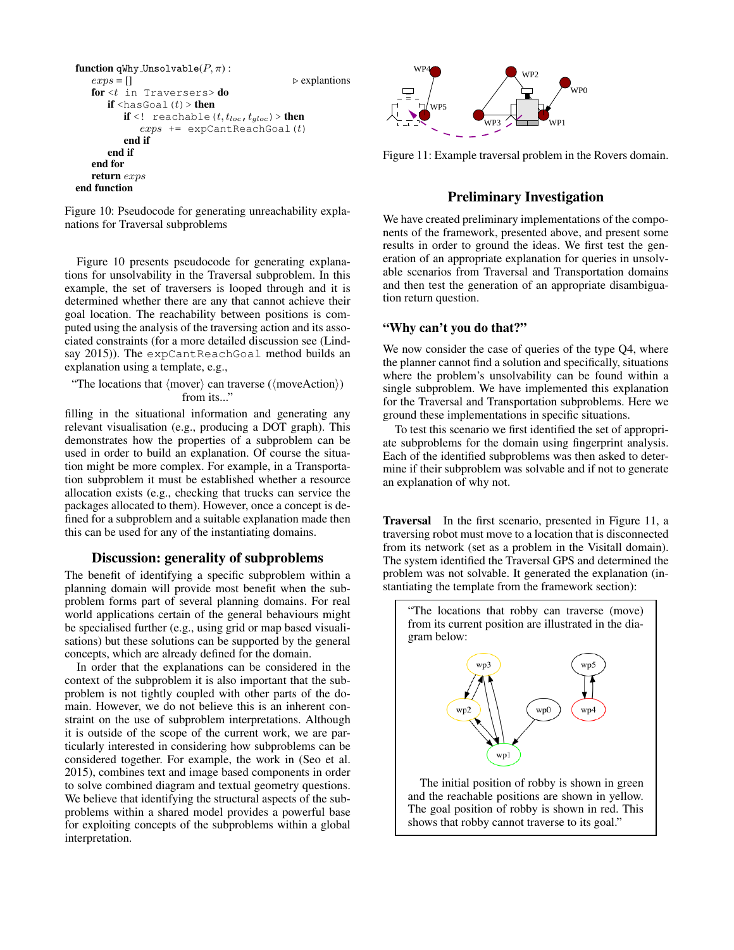```
function qWhy_Unsolvable(P, \pi):
   \exp s = [] \triangleright explantions
   for <t in Traversers> do
      if \text{chasGoal}(t) > then
         if <! reachable (t, t_{loc}, t_{gloc}) > then
            exps += expCantRead(Gol(t))end if
      end if
   end for
   return exps
end function
```
Figure 10: Pseudocode for generating unreachability explanations for Traversal subproblems

Figure 10 presents pseudocode for generating explanations for unsolvability in the Traversal subproblem. In this example, the set of traversers is looped through and it is determined whether there are any that cannot achieve their goal location. The reachability between positions is computed using the analysis of the traversing action and its associated constraints (for a more detailed discussion see (Lindsay 2015)). The expCantReachGoal method builds an explanation using a template, e.g.,

"The locations that  $\langle \text{move} \rangle$  can traverse  $(\langle \text{moveAction} \rangle)$ from its..."

filling in the situational information and generating any relevant visualisation (e.g., producing a DOT graph). This demonstrates how the properties of a subproblem can be used in order to build an explanation. Of course the situation might be more complex. For example, in a Transportation subproblem it must be established whether a resource allocation exists (e.g., checking that trucks can service the packages allocated to them). However, once a concept is defined for a subproblem and a suitable explanation made then this can be used for any of the instantiating domains.

### Discussion: generality of subproblems

The benefit of identifying a specific subproblem within a planning domain will provide most benefit when the subproblem forms part of several planning domains. For real world applications certain of the general behaviours might be specialised further (e.g., using grid or map based visualisations) but these solutions can be supported by the general concepts, which are already defined for the domain.

In order that the explanations can be considered in the context of the subproblem it is also important that the subproblem is not tightly coupled with other parts of the domain. However, we do not believe this is an inherent constraint on the use of subproblem interpretations. Although it is outside of the scope of the current work, we are particularly interested in considering how subproblems can be considered together. For example, the work in (Seo et al. 2015), combines text and image based components in order to solve combined diagram and textual geometry questions. We believe that identifying the structural aspects of the subproblems within a shared model provides a powerful base for exploiting concepts of the subproblems within a global interpretation.



Figure 11: Example traversal problem in the Rovers domain.

# Preliminary Investigation

We have created preliminary implementations of the components of the framework, presented above, and present some results in order to ground the ideas. We first test the generation of an appropriate explanation for queries in unsolvable scenarios from Traversal and Transportation domains and then test the generation of an appropriate disambiguation return question.

### "Why can't you do that?"

We now consider the case of queries of the type Q4, where the planner cannot find a solution and specifically, situations where the problem's unsolvability can be found within a single subproblem. We have implemented this explanation for the Traversal and Transportation subproblems. Here we ground these implementations in specific situations.

To test this scenario we first identified the set of appropriate subproblems for the domain using fingerprint analysis. Each of the identified subproblems was then asked to determine if their subproblem was solvable and if not to generate an explanation of why not.

Traversal In the first scenario, presented in Figure 11, a traversing robot must move to a location that is disconnected from its network (set as a problem in the Visitall domain). The system identified the Traversal GPS and determined the problem was not solvable. It generated the explanation (instantiating the template from the framework section):

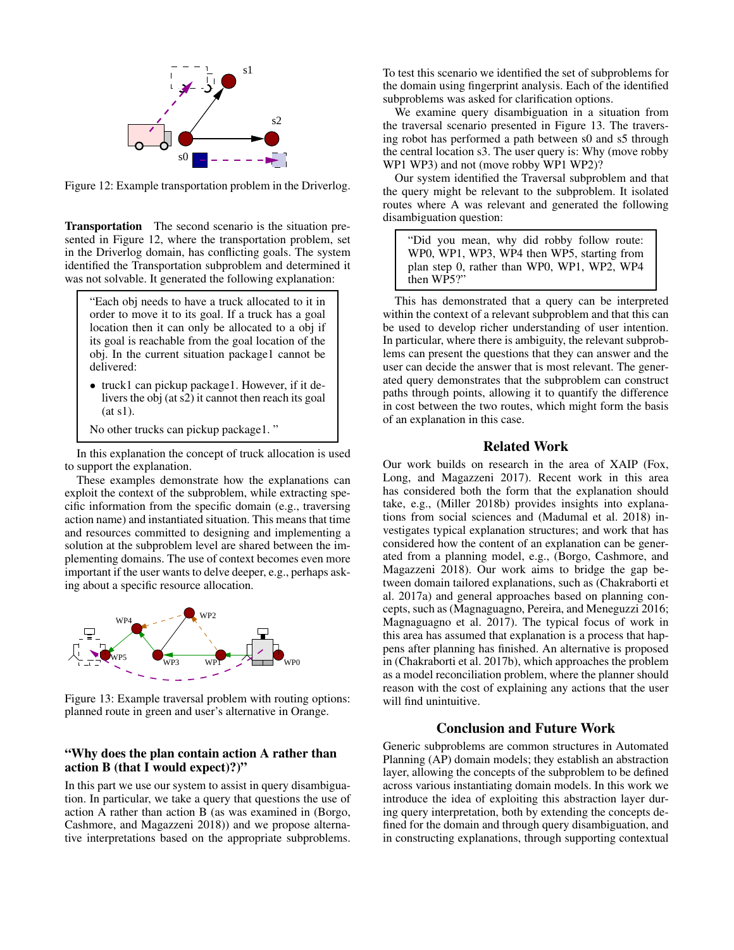

Figure 12: Example transportation problem in the Driverlog.

Transportation The second scenario is the situation presented in Figure 12, where the transportation problem, set in the Driverlog domain, has conflicting goals. The system identified the Transportation subproblem and determined it was not solvable. It generated the following explanation:

- "Each obj needs to have a truck allocated to it in order to move it to its goal. If a truck has a goal location then it can only be allocated to a obj if its goal is reachable from the goal location of the obj. In the current situation package1 cannot be delivered:
- truck1 can pickup package1. However, if it delivers the obj (at s2) it cannot then reach its goal (at s1).
- No other trucks can pickup package1. "

In this explanation the concept of truck allocation is used to support the explanation.

These examples demonstrate how the explanations can exploit the context of the subproblem, while extracting specific information from the specific domain (e.g., traversing action name) and instantiated situation. This means that time and resources committed to designing and implementing a solution at the subproblem level are shared between the implementing domains. The use of context becomes even more important if the user wants to delve deeper, e.g., perhaps asking about a specific resource allocation.



Figure 13: Example traversal problem with routing options: planned route in green and user's alternative in Orange.

# "Why does the plan contain action A rather than action B (that I would expect)?)"

In this part we use our system to assist in query disambiguation. In particular, we take a query that questions the use of action A rather than action B (as was examined in (Borgo, Cashmore, and Magazzeni 2018)) and we propose alternative interpretations based on the appropriate subproblems.

To test this scenario we identified the set of subproblems for the domain using fingerprint analysis. Each of the identified subproblems was asked for clarification options.

We examine query disambiguation in a situation from the traversal scenario presented in Figure 13. The traversing robot has performed a path between s0 and s5 through the central location s3. The user query is: Why (move robby WP1 WP3) and not (move robby WP1 WP2)?

Our system identified the Traversal subproblem and that the query might be relevant to the subproblem. It isolated routes where A was relevant and generated the following disambiguation question:

"Did you mean, why did robby follow route: WP0, WP1, WP3, WP4 then WP5, starting from plan step 0, rather than WP0, WP1, WP2, WP4 then WP5?"

This has demonstrated that a query can be interpreted within the context of a relevant subproblem and that this can be used to develop richer understanding of user intention. In particular, where there is ambiguity, the relevant subproblems can present the questions that they can answer and the user can decide the answer that is most relevant. The generated query demonstrates that the subproblem can construct paths through points, allowing it to quantify the difference in cost between the two routes, which might form the basis of an explanation in this case.

### Related Work

Our work builds on research in the area of XAIP (Fox, Long, and Magazzeni 2017). Recent work in this area has considered both the form that the explanation should take, e.g., (Miller 2018b) provides insights into explanations from social sciences and (Madumal et al. 2018) investigates typical explanation structures; and work that has considered how the content of an explanation can be generated from a planning model, e.g., (Borgo, Cashmore, and Magazzeni 2018). Our work aims to bridge the gap between domain tailored explanations, such as (Chakraborti et al. 2017a) and general approaches based on planning concepts, such as (Magnaguagno, Pereira, and Meneguzzi 2016; Magnaguagno et al. 2017). The typical focus of work in this area has assumed that explanation is a process that happens after planning has finished. An alternative is proposed in (Chakraborti et al. 2017b), which approaches the problem as a model reconciliation problem, where the planner should reason with the cost of explaining any actions that the user will find unintuitive.

# Conclusion and Future Work

Generic subproblems are common structures in Automated Planning (AP) domain models; they establish an abstraction layer, allowing the concepts of the subproblem to be defined across various instantiating domain models. In this work we introduce the idea of exploiting this abstraction layer during query interpretation, both by extending the concepts defined for the domain and through query disambiguation, and in constructing explanations, through supporting contextual